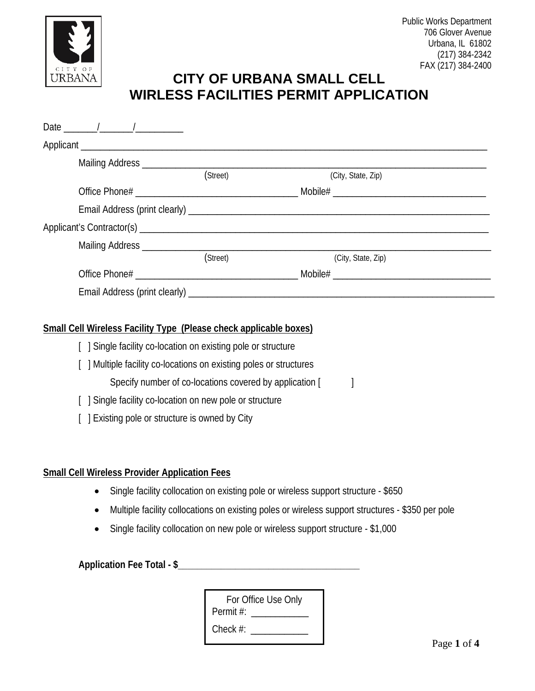

# **CITY OF URBANA SMALL CELL WIRLESS FACILITIES PERMIT APPLICATION**

| Date $\frac{1}{\sqrt{1-\frac{1}{2}}}\frac{1}{\sqrt{1-\frac{1}{2}}}\frac{1}{\sqrt{1-\frac{1}{2}}}\frac{1}{\sqrt{1-\frac{1}{2}}}\frac{1}{\sqrt{1-\frac{1}{2}}}\frac{1}{\sqrt{1-\frac{1}{2}}}\frac{1}{\sqrt{1-\frac{1}{2}}}\frac{1}{\sqrt{1-\frac{1}{2}}}\frac{1}{\sqrt{1-\frac{1}{2}}}\frac{1}{\sqrt{1-\frac{1}{2}}}\frac{1}{\sqrt{1-\frac{1}{2}}}\frac{1}{\sqrt{1-\frac{1}{2}}}\frac{1}{\sqrt{1-\frac{1}{2}}}\frac{1}{\sqrt$ |          |                                 |
|-----------------------------------------------------------------------------------------------------------------------------------------------------------------------------------------------------------------------------------------------------------------------------------------------------------------------------------------------------------------------------------------------------------------------------|----------|---------------------------------|
|                                                                                                                                                                                                                                                                                                                                                                                                                             |          |                                 |
| Mailing Address ____________                                                                                                                                                                                                                                                                                                                                                                                                |          |                                 |
|                                                                                                                                                                                                                                                                                                                                                                                                                             | (Street) | (City, State, Zip)              |
|                                                                                                                                                                                                                                                                                                                                                                                                                             |          |                                 |
|                                                                                                                                                                                                                                                                                                                                                                                                                             |          |                                 |
|                                                                                                                                                                                                                                                                                                                                                                                                                             |          |                                 |
|                                                                                                                                                                                                                                                                                                                                                                                                                             |          |                                 |
|                                                                                                                                                                                                                                                                                                                                                                                                                             | (Street) | (City, State, Zip)              |
|                                                                                                                                                                                                                                                                                                                                                                                                                             |          | Mobile# _______________________ |
| Email Address (print clearly) ____________                                                                                                                                                                                                                                                                                                                                                                                  |          |                                 |

### **Small Cell Wireless Facility Type (Please check applicable boxes)**

- [ ] Single facility co-location on existing pole or structure
- [ ] Multiple facility co-locations on existing poles or structures

Specify number of co-locations covered by application [

- [ ] Single facility co-location on new pole or structure
- [ ] Existing pole or structure is owned by City

#### **Small Cell Wireless Provider Application Fees**

- Single facility collocation on existing pole or wireless support structure \$650
- Multiple facility collocations on existing poles or wireless support structures \$350 per pole
- Single facility collocation on new pole or wireless support structure \$1,000

**Application Fee Total - \$\_\_\_\_\_\_\_\_\_\_\_\_\_\_\_\_\_\_\_\_\_\_\_\_\_\_\_\_\_\_\_\_\_\_\_\_\_\_**

| For Office Use Only |  |  |  |  |
|---------------------|--|--|--|--|
| Permit #:           |  |  |  |  |
| Check $#$ :         |  |  |  |  |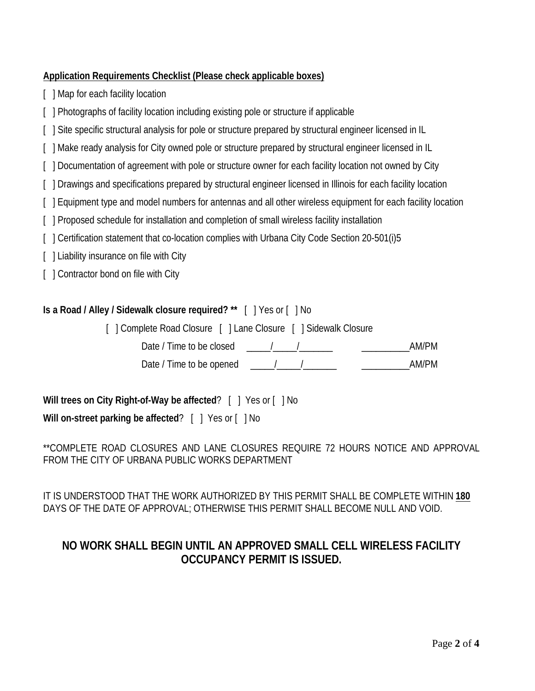# **Application Requirements Checklist (Please check applicable boxes)**

- [ ] Map for each facility location
- [ ] Photographs of facility location including existing pole or structure if applicable
- [ ] Site specific structural analysis for pole or structure prepared by structural engineer licensed in IL
- [ ] Make ready analysis for City owned pole or structure prepared by structural engineer licensed in IL
- [] Documentation of agreement with pole or structure owner for each facility location not owned by City
- [ ] Drawings and specifications prepared by structural engineer licensed in Illinois for each facility location
- [ ] Equipment type and model numbers for antennas and all other wireless equipment for each facility location
- [ ] Proposed schedule for installation and completion of small wireless facility installation
- [ ] Certification statement that co-location complies with Urbana City Code Section 20-501(i)5
- [ ] Liability insurance on file with City
- [ ] Contractor bond on file with City

## **Is a Road / Alley / Sidewalk closure required? \*\*** [ ] Yes or [ ] No

[ ] Complete Road Closure [ ] Lane Closure [ ] Sidewalk Closure

Date / Time to be closed  $\frac{1}{2}$  /  $\frac{1}{2}$  /  $\frac{1}{2}$  /  $\frac{1}{2}$  AM/PM

Date / Time to be opened \_\_\_\_\_/\_\_\_\_\_/\_\_\_\_\_\_\_ \_\_\_\_\_\_\_\_\_\_AM/PM

**Will trees on City Right-of-Way be affected**? [ ] Yes or [ ] No

**Will on-street parking be affected**? [ ] Yes or [ ] No

\*\*COMPLETE ROAD CLOSURES AND LANE CLOSURES REQUIRE 72 HOURS NOTICE AND APPROVAL FROM THE CITY OF URBANA PUBLIC WORKS DEPARTMENT

IT IS UNDERSTOOD THAT THE WORK AUTHORIZED BY THIS PERMIT SHALL BE COMPLETE WITHIN **180** DAYS OF THE DATE OF APPROVAL; OTHERWISE THIS PERMIT SHALL BECOME NULL AND VOID.

# **NO WORK SHALL BEGIN UNTIL AN APPROVED SMALL CELL WIRELESS FACILITY OCCUPANCY PERMIT IS ISSUED.**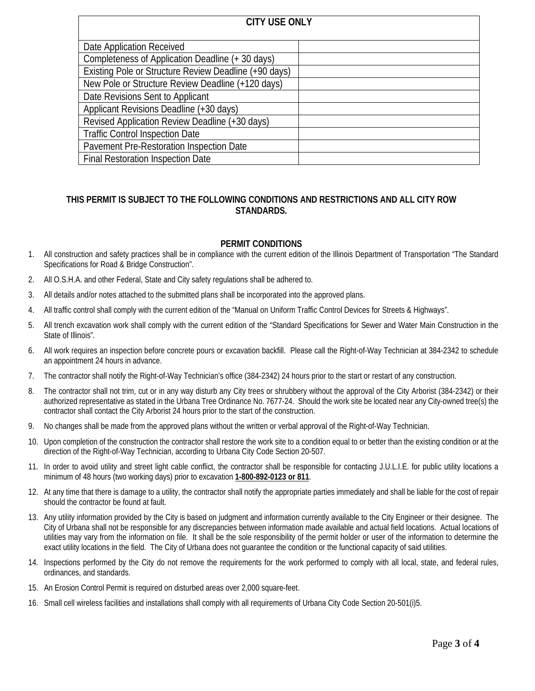| <b>CITY USE ONLY</b>                                  |  |  |  |
|-------------------------------------------------------|--|--|--|
| Date Application Received                             |  |  |  |
| Completeness of Application Deadline (+ 30 days)      |  |  |  |
| Existing Pole or Structure Review Deadline (+90 days) |  |  |  |
| New Pole or Structure Review Deadline (+120 days)     |  |  |  |
| Date Revisions Sent to Applicant                      |  |  |  |
| Applicant Revisions Deadline (+30 days)               |  |  |  |
| Revised Application Review Deadline (+30 days)        |  |  |  |
| <b>Traffic Control Inspection Date</b>                |  |  |  |
| Pavement Pre-Restoration Inspection Date              |  |  |  |
| Final Restoration Inspection Date                     |  |  |  |

#### **THIS PERMIT IS SUBJECT TO THE FOLLOWING CONDITIONS AND RESTRICTIONS AND ALL CITY ROW STANDARDS.**

#### **PERMIT CONDITIONS**

- 1. All construction and safety practices shall be in compliance with the current edition of the Illinois Department of Transportation "The Standard Specifications for Road & Bridge Construction".
- 2. All O.S.H.A. and other Federal, State and City safety regulations shall be adhered to.
- 3. All details and/or notes attached to the submitted plans shall be incorporated into the approved plans.
- 4. All traffic control shall comply with the current edition of the "Manual on Uniform Traffic Control Devices for Streets & Highways".
- 5. All trench excavation work shall comply with the current edition of the "Standard Specifications for Sewer and Water Main Construction in the State of Illinois".
- 6. All work requires an inspection before concrete pours or excavation backfill. Please call the Right-of-Way Technician at 384-2342 to schedule an appointment 24 hours in advance.
- 7. The contractor shall notify the Right-of-Way Technician's office (384-2342) 24 hours prior to the start or restart of any construction.
- 8. The contractor shall not trim, cut or in any way disturb any City trees or shrubbery without the approval of the City Arborist (384-2342) or their authorized representative as stated in the Urbana Tree Ordinance No. 7677-24. Should the work site be located near any City-owned tree(s) the contractor shall contact the City Arborist 24 hours prior to the start of the construction.
- 9. No changes shall be made from the approved plans without the written or verbal approval of the Right-of-Way Technician.
- 10. Upon completion of the construction the contractor shall restore the work site to a condition equal to or better than the existing condition or at the direction of the Right-of-Way Technician, according to Urbana City Code Section 20-507.
- 11. In order to avoid utility and street light cable conflict, the contractor shall be responsible for contacting J.U.L.I.E. for public utility locations a minimum of 48 hours (two working days) prior to excavation **1-800-892-0123 or 811**.
- 12. At any time that there is damage to a utility, the contractor shall notify the appropriate parties immediately and shall be liable for the cost of repair should the contractor be found at fault.
- 13. Any utility information provided by the City is based on judgment and information currently available to the City Engineer or their designee. The City of Urbana shall not be responsible for any discrepancies between information made available and actual field locations. Actual locations of utilities may vary from the information on file. It shall be the sole responsibility of the permit holder or user of the information to determine the exact utility locations in the field. The City of Urbana does not guarantee the condition or the functional capacity of said utilities.
- 14. Inspections performed by the City do not remove the requirements for the work performed to comply with all local, state, and federal rules, ordinances, and standards.
- 15. An Erosion Control Permit is required on disturbed areas over 2,000 square-feet.
- 16. Small cell wireless facilities and installations shall comply with all requirements of Urbana City Code Section 20-501(i)5.